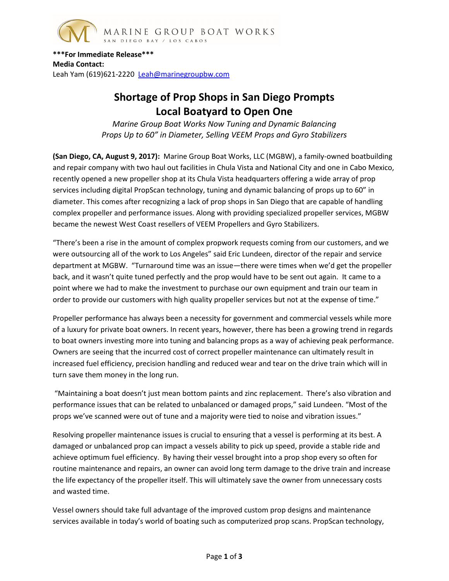

**\*\*\*For Immediate Release\*\*\* Media Contact:** Leah Yam (619)621-2220 [Leah@marinegroupbw.com](mailto:Leah@marinegroupbw.com)

## **Shortage of Prop Shops in San Diego Prompts Local Boatyard to Open One**

*Marine Group Boat Works Now Tuning and Dynamic Balancing Props Up to 60" in Diameter, Selling VEEM Props and Gyro Stabilizers*

**(San Diego, CA, August 9, 2017):** Marine Group Boat Works, LLC (MGBW), a family-owned boatbuilding and repair company with two haul out facilities in Chula Vista and National City and one in Cabo Mexico, recently opened a new propeller shop at its Chula Vista headquarters offering a wide array of prop services including digital PropScan technology, tuning and dynamic balancing of props up to 60" in diameter. This comes after recognizing a lack of prop shops in San Diego that are capable of handling complex propeller and performance issues. Along with providing specialized propeller services, MGBW became the newest West Coast resellers of VEEM Propellers and Gyro Stabilizers.

"There's been a rise in the amount of complex propwork requests coming from our customers, and we were outsourcing all of the work to Los Angeles" said Eric Lundeen, director of the repair and service department at MGBW. "Turnaround time was an issue—there were times when we'd get the propeller back, and it wasn't quite tuned perfectly and the prop would have to be sent out again. It came to a point where we had to make the investment to purchase our own equipment and train our team in order to provide our customers with high quality propeller services but not at the expense of time."

Propeller performance has always been a necessity for government and commercial vessels while more of a luxury for private boat owners. In recent years, however, there has been a growing trend in regards to boat owners investing more into tuning and balancing props as a way of achieving peak performance. Owners are seeing that the incurred cost of correct propeller maintenance can ultimately result in increased fuel efficiency, precision handling and reduced wear and tear on the drive train which will in turn save them money in the long run.

"Maintaining a boat doesn't just mean bottom paints and zinc replacement. There's also vibration and performance issues that can be related to unbalanced or damaged props," said Lundeen. "Most of the props we've scanned were out of tune and a majority were tied to noise and vibration issues."

Resolving propeller maintenance issues is crucial to ensuring that a vessel is performing at its best. A damaged or unbalanced prop can impact a vessels ability to pick up speed, provide a stable ride and achieve optimum fuel efficiency. By having their vessel brought into a prop shop every so often for routine maintenance and repairs, an owner can avoid long term damage to the drive train and increase the life expectancy of the propeller itself. This will ultimately save the owner from unnecessary costs and wasted time.

Vessel owners should take full advantage of the improved custom prop designs and maintenance services available in today's world of boating such as computerized prop scans. PropScan technology,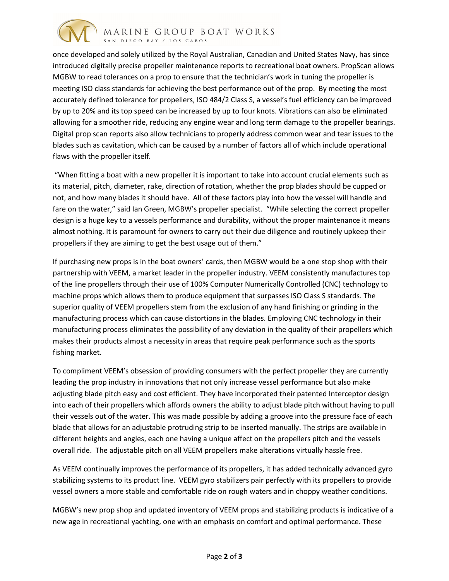

once developed and solely utilized by the Royal Australian, Canadian and United States Navy, has since introduced digitally precise propeller maintenance reports to recreational boat owners. PropScan allows MGBW to read tolerances on a prop to ensure that the technician's work in tuning the propeller is meeting ISO class standards for achieving the best performance out of the prop. By meeting the most accurately defined tolerance for propellers, ISO 484/2 Class S, a vessel's fuel efficiency can be improved by up to 20% and its top speed can be increased by up to four knots. Vibrations can also be eliminated allowing for a smoother ride, reducing any engine wear and long term damage to the propeller bearings. Digital prop scan reports also allow technicians to properly address common wear and tear issues to the blades such as cavitation, which can be caused by a number of factors all of which include operational flaws with the propeller itself.

"When fitting a boat with a new propeller it is important to take into account crucial elements such as its material, pitch, diameter, rake, direction of rotation, whether the prop blades should be cupped or not, and how many blades it should have. All of these factors play into how the vessel will handle and fare on the water," said Ian Green, MGBW's propeller specialist. "While selecting the correct propeller design is a huge key to a vessels performance and durability, without the proper maintenance it means almost nothing. It is paramount for owners to carry out their due diligence and routinely upkeep their propellers if they are aiming to get the best usage out of them."

If purchasing new props is in the boat owners' cards, then MGBW would be a one stop shop with their partnership with VEEM, a market leader in the propeller industry. VEEM consistently manufactures top of the line propellers through their use of 100% Computer Numerically Controlled (CNC) technology to machine props which allows them to produce equipment that surpasses ISO Class S standards. The superior quality of VEEM propellers stem from the exclusion of any hand finishing or grinding in the manufacturing process which can cause distortions in the blades. Employing CNC technology in their manufacturing process eliminates the possibility of any deviation in the quality of their propellers which makes their products almost a necessity in areas that require peak performance such as the sports fishing market.

To compliment VEEM's obsession of providing consumers with the perfect propeller they are currently leading the prop industry in innovations that not only increase vessel performance but also make adjusting blade pitch easy and cost efficient. They have incorporated their patented Interceptor design into each of their propellers which affords owners the ability to adjust blade pitch without having to pull their vessels out of the water. This was made possible by adding a groove into the pressure face of each blade that allows for an adjustable protruding strip to be inserted manually. The strips are available in different heights and angles, each one having a unique affect on the propellers pitch and the vessels overall ride. The adjustable pitch on all VEEM propellers make alterations virtually hassle free.

As VEEM continually improves the performance of its propellers, it has added technically advanced gyro stabilizing systems to its product line. VEEM gyro stabilizers pair perfectly with its propellers to provide vessel owners a more stable and comfortable ride on rough waters and in choppy weather conditions.

MGBW's new prop shop and updated inventory of VEEM props and stabilizing products is indicative of a new age in recreational yachting, one with an emphasis on comfort and optimal performance. These